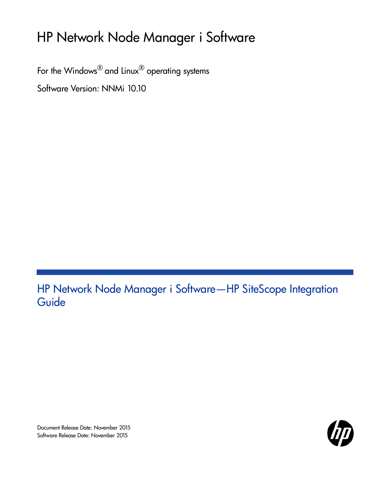# HP Network Node Manager i Software

For the Windows® and Linux® operating systems Software Version: NNMi 10.10

HP Network Node Manager i Software—HP SiteScope Integration Guide



Document Release Date: November 2015 Software Release Date: November 2015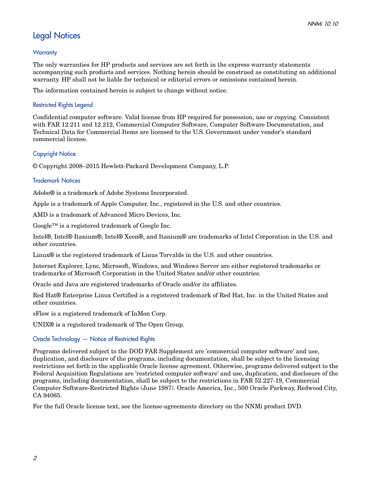### Legal Notices

### **Warranty**

The only warranties for HP products and services are set forth in the express warranty statements accompanying such products and services. Nothing herein should be construed as constituting an additional warranty. HP shall not be liable for technical or editorial errors or omissions contained herein.

The information contained herein is subject to change without notice.

### Restricted Rights Legend

Confidential computer software. Valid license from HP required for possession, use or copying. Consistent with FAR 12.211 and 12.212, Commercial Computer Software, Computer Software Documentation, and Technical Data for Commercial Items are licensed to the U.S. Government under vendor's standard commercial license.

### Copyright Notice

© Copyright 2008–2015 Hewlett-Packard Development Company, L.P.

#### Trademark Notices

Adobe® is a trademark of Adobe Systems Incorporated.

Apple is a trademark of Apple Computer, Inc., registered in the U.S. and other countries.

AMD is a trademark of Advanced Micro Devices, Inc.

Google™ is a registered trademark of Google Inc.

Intel®, Intel® Itanium®, Intel® Xeon®, and Itanium® are trademarks of Intel Corporation in the U.S. and other countries.

Linux® is the registered trademark of Linus Torvalds in the U.S. and other countries.

Internet Explorer, Lync, Microsoft, Windows, and Windows Server are either registered trademarks or trademarks of Microsoft Corporation in the United States and/or other countries.

Oracle and Java are registered trademarks of Oracle and/or its affiliates.

Red Hat® Enterprise Linux Certified is a registered trademark of Red Hat, Inc. in the United States and other countries.

sFlow is a registered trademark of InMon Corp.

UNIX® is a registered trademark of The Open Group.

#### Oracle Technology — Notice of Restricted Rights

Programs delivered subject to the DOD FAR Supplement are 'commercial computer software' and use, duplication, and disclosure of the programs, including documentation, shall be subject to the licensing restrictions set forth in the applicable Oracle license agreement. Otherwise, programs delivered subject to the Federal Acquisition Regulations are 'restricted computer software' and use, duplication, and disclosure of the programs, including documentation, shall be subject to the restrictions in FAR 52.227-19, Commercial Computer Software-Restricted Rights (June 1987). Oracle America, Inc., 500 Oracle Parkway, Redwood City, CA 94065.

For the full Oracle license text, see the license-agreements directory on the NNMi product DVD.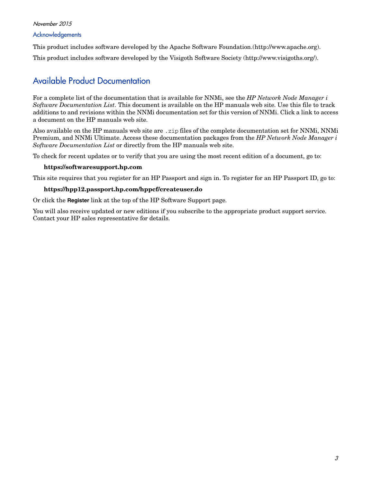#### November 2015

### **Acknowledgements**

This product includes software developed by the Apache Software Foundation.(http://www.apache.org). This product includes software developed by the Visigoth Software Society (http://www.visigoths.org/).

### Available Product Documentation

For a complete list of the documentation that is available for NNMi, see the *HP Network Node Manager i Software Documentation List*. This document is available on the HP manuals web site. Use this file to track additions to and revisions within the NNMi documentation set for this version of NNMi. Click a link to access a document on the HP manuals web site.

Also available on the HP manuals web site are .zip files of the complete documentation set for NNMi, NNMi Premium, and NNMi Ultimate. Access these documentation packages from the *HP Network Node Manager i Software Documentation List* or directly from the HP manuals web site.

To check for recent updates or to verify that you are using the most recent edition of a document, go to:

#### **https://softwaresupport.hp.com**

This site requires that you register for an HP Passport and sign in. To register for an HP Passport ID, go to:

#### **https://hpp12.passport.hp.com/hppcf/createuser.do**

Or click the **Register** link at the top of the HP Software Support page.

You will also receive updated or new editions if you subscribe to the appropriate product support service. Contact your HP sales representative for details.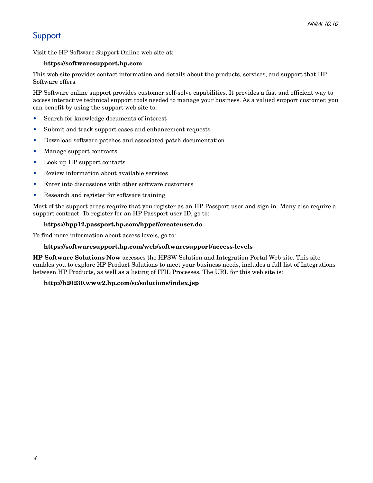### Support

Visit the HP Software Support Online web site at:

### **https://softwaresupport.hp.com**

This web site provides contact information and details about the products, services, and support that HP Software offers.

HP Software online support provides customer self-solve capabilities. It provides a fast and efficient way to access interactive technical support tools needed to manage your business. As a valued support customer, you can benefit by using the support web site to:

- Search for knowledge documents of interest
- Submit and track support cases and enhancement requests
- Download software patches and associated patch documentation
- Manage support contracts
- Look up HP support contacts
- Review information about available services
- Enter into discussions with other software customers
- Research and register for software training

Most of the support areas require that you register as an HP Passport user and sign in. Many also require a support contract. To register for an HP Passport user ID, go to:

### **https://hpp12.passport.hp.com/hppcf/createuser.do**

To find more information about access levels, go to:

#### **https://softwaresupport.hp.com/web/softwaresupport/access-levels**

**HP Software Solutions Now** accesses the HPSW Solution and Integration Portal Web site. This site enables you to explore HP Product Solutions to meet your business needs, includes a full list of Integrations between HP Products, as well as a listing of ITIL Processes. The URL for this web site is:

#### **http://h20230.www2.hp.com/sc/solutions/index.jsp**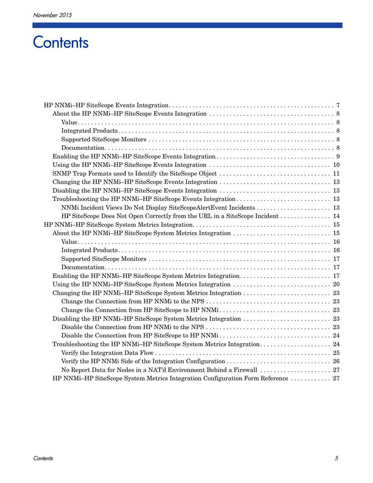# **Contents**

| HP SiteScope Does Not Open Correctly from the URL in a SiteScope Incident  14    |  |
|----------------------------------------------------------------------------------|--|
|                                                                                  |  |
|                                                                                  |  |
|                                                                                  |  |
|                                                                                  |  |
|                                                                                  |  |
|                                                                                  |  |
|                                                                                  |  |
|                                                                                  |  |
|                                                                                  |  |
|                                                                                  |  |
|                                                                                  |  |
|                                                                                  |  |
|                                                                                  |  |
|                                                                                  |  |
|                                                                                  |  |
|                                                                                  |  |
|                                                                                  |  |
|                                                                                  |  |
| HP NNMi-HP SiteScope System Metrics Integration Configuration Form Reference  27 |  |
|                                                                                  |  |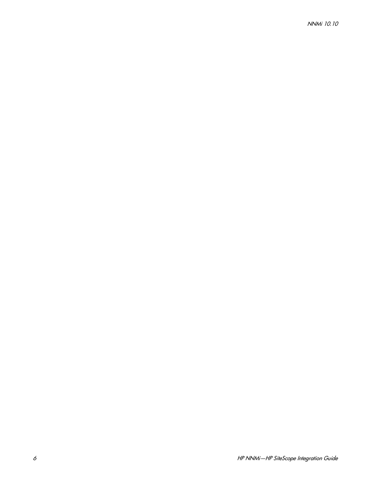NNMi 10.10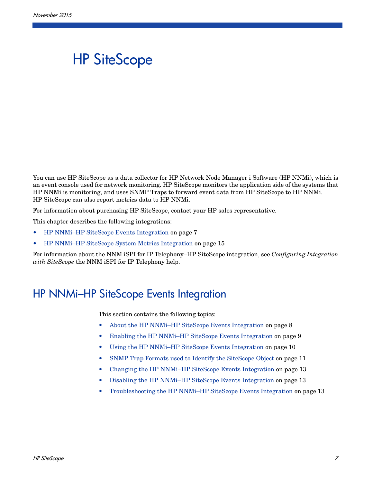## HP SiteScope

You can use HP SiteScope as a data collector for HP Network Node Manager i Software (HP NNMi), which is an event console used for network monitoring. HP SiteScope monitors the application side of the systems that HP NNMi is monitoring, and uses SNMP Traps to forward event data from HP SiteScope to HP NNMi. HP SiteScope can also report metrics data to HP NNMi.

For information about purchasing HP SiteScope, contact your HP sales representative.

This chapter describes the following integrations:

- HP NNMi–HP [SiteScope Events Integration on page](#page-6-0) 7
- HP NNMi–HP [SiteScope System Metrics Integration on page](#page-14-0) 15

For information about the NNM iSPI for IP Telephony–HP SiteScope integration, see *Configuring Integration with SiteScope* the NNM iSPI for IP Telephony help.

## <span id="page-6-0"></span>HP NNMi–HP SiteScope Events Integration

This section contains the following topics:

- • [About the HP NNMi–HP SiteScope Events Integration on page 8](#page-7-0)
- • [Enabling the HP NNMi–HP SiteScope Events Integration on page 9](#page-8-0)
- • [Using the HP NNMi–HP SiteScope Events Integration on page 10](#page-9-0)
- • [SNMP Trap Formats used to Identify the SiteScope Object on page 11](#page-10-0)
- • [Changing the HP NNMi–HP SiteScope Events Integration on page 13](#page-12-0)
- • [Disabling the HP NNMi–HP SiteScope Events Integration on page 13](#page-12-1)
- • [Troubleshooting the HP NNMi–HP SiteScope Events Integration on page 13](#page-12-2)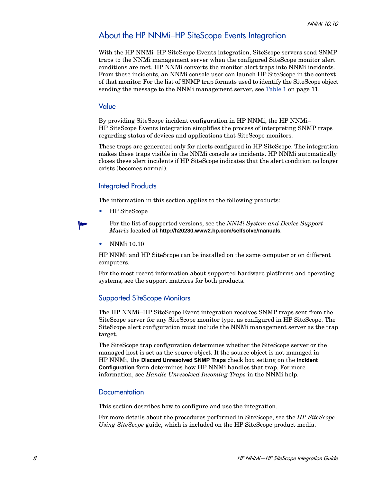### <span id="page-7-0"></span>About the HP NNMi–HP SiteScope Events Integration

With the HP NNMi–HP SiteScope Events integration, SiteScope servers send SNMP traps to the NNMi management server when the configured SiteScope monitor alert conditions are met. HP NNMi converts the monitor alert traps into NNMi incidents. From these incidents, an NNMi console user can launch HP SiteScope in the context of that monitor. For the list of SNMP trap formats used to identify the SiteScope object sending the message to the NNMi management server, see [Table 1 on page 11](#page-10-1).

#### <span id="page-7-1"></span>Value

By providing SiteScope incident configuration in HP NNMi, the HP NNMi– HP SiteScope Events integration simplifies the process of interpreting SNMP traps regarding status of devices and applications that SiteScope monitors.

These traps are generated only for alerts configured in HP SiteScope. The integration makes these traps visible in the NNMi console as incidents. HP NNMi automatically closes these alert incidents if HP SiteScope indicates that the alert condition no longer exists (becomes normal).

### <span id="page-7-2"></span>Integrated Products

The information in this section applies to the following products:

• HP SiteScope

For the list of supported versions, see the *NNMi System and Device Support Matrix* located at **http://h20230.www2.hp.com/selfsolve/manuals**.

• NNMi 10.10

HP NNMi and HP SiteScope can be installed on the same computer or on different computers.

For the most recent information about supported hardware platforms and operating systems, see the support matrices for both products.

#### <span id="page-7-3"></span>Supported SiteScope Monitors

The HP NNMi–HP SiteScope Event integration receives SNMP traps sent from the SiteScope server for any SiteScope monitor type, as configured in HP SiteScope. The SiteScope alert configuration must include the NNMi management server as the trap target.

The SiteScope trap configuration determines whether the SiteScope server or the managed host is set as the source object. If the source object is not managed in HP NNMi, the **Discard Unresolved SNMP Traps** check box setting on the **Incident Configuration** form determines how HP NNMi handles that trap. For more information, see *Handle Unresolved Incoming Traps* in the NNMi help.

#### <span id="page-7-4"></span>**Documentation**

This section describes how to configure and use the integration.

For more details about the procedures performed in SiteScope, see the *HP SiteScope Using SiteScope* guide, which is included on the HP SiteScope product media.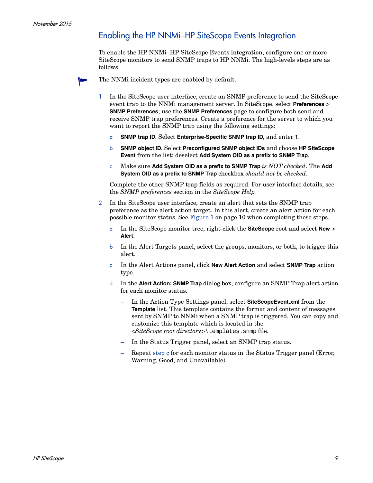### <span id="page-8-0"></span>Enabling the HP NNMi–HP SiteScope Events Integration

To enable the HP NNMi–HP SiteScope Events integration, configure one or more SiteScope monitors to send SNMP traps to HP NNMi. The high-levels steps are as follows:



The NNMi incident types are enabled by default.

- 1 In the SiteScope user interface, create an SNMP preference to send the SiteScope event trap to the NNMi management server. In SiteScope, select **Preferences** > **SNMP Preferences**; use the **SNMP Preferences** page to configure both send and receive SNMP trap preferences. Create a preference for the server to which you want to report the SNMP trap using the following settings:
	- a **SNMP trap ID**. Select **Enterprise-Specific SNMP trap ID**, and enter **1**.
	- b **SNMP object ID**. Select **Preconfigured SNMP object IDs** and choose **HP SiteScope Event** from the list; deselect **Add System OID as a prefix to SNMP Trap**.
	- c Make sure **Add System OID as a prefix to SNMP Trap** *is NOT checked*. The **Add System OID as a prefix to SNMP Trap** checkbox *should not be checked*.

Complete the other SNMP trap fields as required. For user interface details, see the *SNMP preferences* section in the *SiteScope Help.*

- <span id="page-8-1"></span>2 In the SiteScope user interface, create an alert that sets the SNMP trap preference as the alert action target. In this alert, create an alert action for each possible monitor status. See [Figure 1 on page 10](#page-9-1) when completing these steps.
	- a In the SiteScope monitor tree, right-click the **SiteScope** root and select **New** > **Alert**.
	- b In the Alert Targets panel, select the groups, monitors, or both, to trigger this alert.
	- c In the Alert Actions panel, click **New Alert Action** and select **SNMP Trap** action type.
	- d In the **Alert Action: SNMP Trap** dialog box, configure an SNMP Trap alert action for each monitor status.
		- In the Action Type Settings panel, select **SiteScopeEvent.xml** from the **Template** list. This template contains the format and content of messages sent by SNMP to NNMi when a SNMP trap is triggered. You can copy and customize this template which is located in the *<SiteScope root directory>*\templates.snmp file.
		- In the Status Trigger panel, select an SNMP trap status.
		- Repeat [step](#page-8-1) c for each monitor status in the Status Trigger panel (Error, Warning, Good, and Unavailable).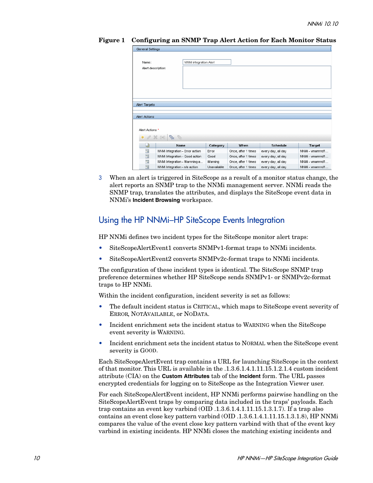| General Settings     |                                         |             |                     |                    |                 |
|----------------------|-----------------------------------------|-------------|---------------------|--------------------|-----------------|
|                      |                                         |             |                     |                    |                 |
| Name:                | NNMi integration Alert                  |             |                     |                    |                 |
| Alert description:   |                                         |             |                     |                    |                 |
|                      |                                         |             |                     |                    |                 |
|                      |                                         |             |                     |                    |                 |
|                      |                                         |             |                     |                    |                 |
|                      |                                         |             |                     |                    |                 |
|                      |                                         |             |                     |                    |                 |
| Alert Targets        |                                         |             |                     |                    |                 |
|                      |                                         |             |                     |                    |                 |
|                      |                                         |             |                     |                    |                 |
| <b>Alert Actions</b> |                                         |             |                     |                    |                 |
|                      |                                         |             |                     |                    |                 |
| Alert Actions *      |                                         |             |                     |                    |                 |
| $*$<br>- 96          | $\frac{1}{2}$<br>$\mathbb{R}_{+}$<br>日相 |             |                     |                    |                 |
| u                    | Name                                    | Category    | When                | Schedule           | Target          |
| 23                   | NNMi Integration - Error action         | Error       | Once, after 1 times | every day, all day | NNMi - vmamrnd1 |
| 罔                    | NNMi Integration - Good action          | Good        | Once, after 1 times | every day, all day | NNMi - vmamrnd1 |
| 23                   | NNMi Integration - Warnning a           | Warning     | Once, after 1 times | every day, all day | NNMi - vmamrnd1 |
| 23                   | NNMi Integration - n/a action           | Unavailable | Once after 1 times  | every day all day  | NNMi - vmamrnd1 |

<span id="page-9-1"></span>**Figure 1 Configuring an SNMP Trap Alert Action for Each Monitor Status**

3 When an alert is triggered in SiteScope as a result of a monitor status change, the alert reports an SNMP trap to the NNMi management server. NNMi reads the SNMP trap, translates the attributes, and displays the SiteScope event data in NNMi's **Incident Browsing** workspace.

### <span id="page-9-0"></span>Using the HP NNMi–HP SiteScope Events Integration

HP NNMi defines two incident types for the SiteScope monitor alert traps:

- SiteScopeAlertEvent1 converts SNMPv1-format traps to NNMi incidents.
- SiteScopeAlertEvent2 converts SNMPv2c-format traps to NNMi incidents.

The configuration of these incident types is identical. The SiteScope SNMP trap preference determines whether HP SiteScope sends SNMPv1- or SNMPv2c-format traps to HP NNMi.

Within the incident configuration, incident severity is set as follows:

- The default incident status is CRITICAL, which maps to SiteScope event severity of ERROR, NOTAVAILABLE, or NODATA.
- Incident enrichment sets the incident status to WARNING when the SiteScope event severity is WARNING.
- Incident enrichment sets the incident status to NORMAL when the SiteScope event severity is GOOD.

Each SiteScopeAlertEvent trap contains a URL for launching SiteScope in the context of that monitor. This URL is available in the .1.3.6.1.4.1.11.15.1.2.1.4 custom incident attribute (CIA) on the **Custom Attributes** tab of the **Incident** form. The URL passes encrypted credentials for logging on to SiteScope as the Integration Viewer user.

For each SiteScopeAlertEvent incident, HP NNMi performs pairwise handling on the SiteScopeAlertEvent traps by comparing data included in the traps' payloads. Each trap contains an event key varbind (OID .1.3.6.1.4.1.11.15.1.3.1.7). If a trap also contains an event close key pattern varbind (OID .1.3.6.1.4.1.11.15.1.3.1.8), HP NNMi compares the value of the event close key pattern varbind with that of the event key varbind in existing incidents. HP NNMi closes the matching existing incidents and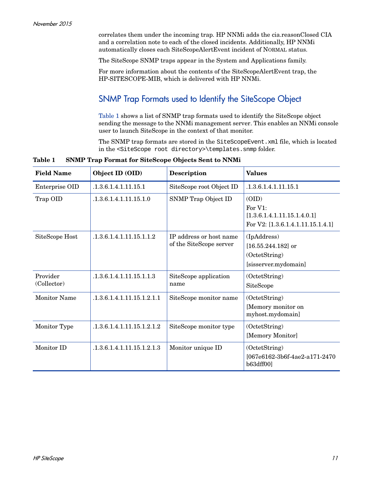correlates them under the incoming trap. HP NNMi adds the cia.reasonClosed CIA and a correlation note to each of the closed incidents. Additionally, HP NNMi automatically closes each SiteScopeAlertEvent incident of NORMAL status.

The SiteScope SNMP traps appear in the System and Applications family.

For more information about the contents of the SiteScopeAlertEvent trap, the HP-SITESCOPE-MIB, which is delivered with HP NNMi.

## <span id="page-10-0"></span>SNMP Trap Formats used to Identify the SiteScope Object

[Table 1](#page-10-1) shows a list of SNMP trap formats used to identify the SiteScope object sending the message to the NNMi management server. This enables an NNMi console user to launch SiteScope in the context of that monitor.

The SNMP trap formats are stored in the SiteScopeEvent.xml file, which is located in the <SiteScope root directory>\templates.snmp folder.

<span id="page-10-1"></span>**Table 1 SNMP Trap Format for SiteScope Objects Sent to NNMi** 

| <b>Field Name</b>       | Object ID (OID)            | <b>Description</b>                                 | <b>Values</b>                                                                           |
|-------------------------|----------------------------|----------------------------------------------------|-----------------------------------------------------------------------------------------|
| Enterprise OID          | .1.3.6.1.4.1.11.15.1       | SiteScope root Object ID                           | .1.3.6.1.4.1.11.15.1                                                                    |
| Trap OID                | .1.3.6.1.4.1.11.15.1.0     | SNMP Trap Object ID                                | (OID)<br>For $V1$ :<br>[1.3.6.1.4.1.11.15.1.4.0.1]<br>For V2: [1.3.6.1.4.1.11.15.1.4.1] |
| SiteScope Host          | .1.3.6.1.4.1.11.15.1.1.2   | IP address or host name<br>of the SiteScope server | (IpAddress)<br>$[16.55.244.182]$ or<br>(OctetString)<br>[sisserver.mydomain]            |
| Provider<br>(Collector) | .1.3.6.1.4.1.11.15.1.1.3   | SiteScope application<br>name                      | (OctetString)<br>SiteScope                                                              |
| <b>Monitor Name</b>     | .1.3.6.1.4.1.11.15.1.2.1.1 | SiteScope monitor name                             | (OctetString)<br>[Memory monitor on<br>myhost.mydomain]                                 |
| Monitor Type            | .1.3.6.1.4.1.11.15.1.2.1.2 | SiteScope monitor type                             | (OctetString)<br>[Memory Monitor]                                                       |
| Monitor ID              | .1.3.6.1.4.1.11.15.1.2.1.3 | Monitor unique ID                                  | (OctetString)<br>[067e6162-3b6f-4ae2-a171-2470]<br>b63dff00]                            |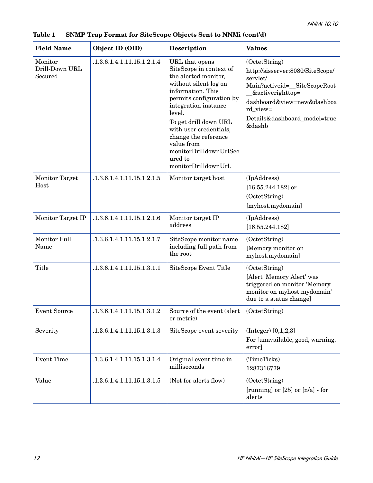| <b>Field Name</b>                    | Object ID (OID)            | Description                                                                                                                                                                                                                                                                                                                         | <b>Values</b>                                                                                                                                                                                         |
|--------------------------------------|----------------------------|-------------------------------------------------------------------------------------------------------------------------------------------------------------------------------------------------------------------------------------------------------------------------------------------------------------------------------------|-------------------------------------------------------------------------------------------------------------------------------------------------------------------------------------------------------|
| Monitor<br>Drill-Down URL<br>Secured | .1.3.6.1.4.1.11.15.1.2.1.4 | URL that opens<br>SiteScope in context of<br>the alerted monitor,<br>without silent log on<br>information. This<br>permits configuration by<br>integration instance<br>level.<br>To get drill down URL<br>with user credentials,<br>change the reference<br>value from<br>monitorDrilldownUrlSec<br>ured to<br>monitorDrilldownUrl. | (OctetString)<br>http://sisserver:8080/SiteScope/<br>servlet/<br>Main?activeid=_SiteScopeRoot<br>&activerighttop=<br>dashboard&view=new&dashboa<br>rd_view=<br>Details&dashboard_model=true<br>&dashb |
| <b>Monitor Target</b><br>Host        | .1.3.6.1.4.1.11.15.1.2.1.5 | Monitor target host                                                                                                                                                                                                                                                                                                                 | (IpAddress)<br>$[16.55.244.182]$ or<br>(OctetString)<br>[myhost.mydomain]                                                                                                                             |
| Monitor Target IP                    | .1.3.6.1.4.1.11.15.1.2.1.6 | Monitor target IP<br>address                                                                                                                                                                                                                                                                                                        | (IpAddress)<br>[16.55.244.182]                                                                                                                                                                        |
| Monitor Full<br>Name                 | .1.3.6.1.4.1.11.15.1.2.1.7 | SiteScope monitor name<br>including full path from<br>the root                                                                                                                                                                                                                                                                      | (OctetString)<br>[Memory monitor on<br>myhost.mydomain]                                                                                                                                               |
| Title                                | .1.3.6.1.4.1.11.15.1.3.1.1 | SiteScope Event Title                                                                                                                                                                                                                                                                                                               | (OctetString)<br>[Alert 'Memory Alert' was<br>triggered on monitor 'Memory<br>monitor on myhost.mydomain'<br>due to a status change]                                                                  |
| <b>Event Source</b>                  | .1.3.6.1.4.1.11.15.1.3.1.2 | Source of the event (alert<br>or metric)                                                                                                                                                                                                                                                                                            | (OctetString)                                                                                                                                                                                         |
| Severity                             | .1.3.6.1.4.1.11.15.1.3.1.3 | SiteScope event severity                                                                                                                                                                                                                                                                                                            | (Integer) $[0,1,2,3]$<br>For [unavailable, good, warning,<br>error]                                                                                                                                   |
| <b>Event Time</b>                    | .1.3.6.1.4.1.11.15.1.3.1.4 | Original event time in<br>milliseconds                                                                                                                                                                                                                                                                                              | (TimeTicks)<br>1287316779                                                                                                                                                                             |
| Value                                | .1.3.6.1.4.1.11.15.1.3.1.5 | (Not for alerts flow)                                                                                                                                                                                                                                                                                                               | (OctetString)<br>[running] or $[25]$ or $[n/a]$ - for<br>alerts                                                                                                                                       |

**Table 1 SNMP Trap Format for SiteScope Objects Sent to NNMi (cont'd)**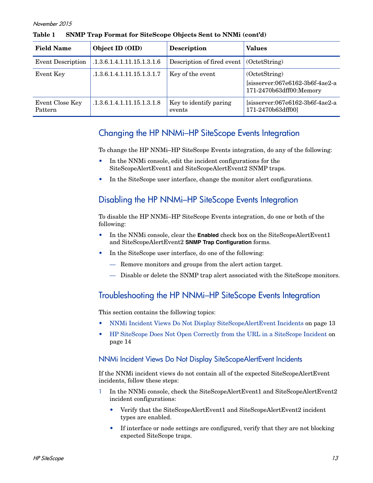November 2015

| <b>Field Name</b>          | Object ID (OID)            | <b>Description</b>                       | <b>Values</b>                                                                  |
|----------------------------|----------------------------|------------------------------------------|--------------------------------------------------------------------------------|
| <b>Event Description</b>   | .1.3.6.1.4.1.11.15.1.3.1.6 | Description of fired event (OctetString) |                                                                                |
| Event Key                  | .1.3.6.1.4.1.11.15.1.3.1.7 | Key of the event                         | (OctetString)<br>$[sisserver:067e6162-3b6f-4ae2-a]$<br>171-2470b63dff00:Memory |
| Event Close Key<br>Pattern | .1.3.6.1.4.1.11.15.1.3.1.8 | Key to identify paring<br>events         | ${\rm [sisserver:067e6162-3b6f-4ae2-a]}$<br>171-2470b63dff00]                  |

**Table 1 SNMP Trap Format for SiteScope Objects Sent to NNMi (cont'd)**

### <span id="page-12-0"></span>Changing the HP NNMi–HP SiteScope Events Integration

To change the HP NNMi–HP SiteScope Events integration, do any of the following:

- In the NNMi console, edit the incident configurations for the SiteScopeAlertEvent1 and SiteScopeAlertEvent2 SNMP traps.
- In the SiteScope user interface, change the monitor alert configurations.

### <span id="page-12-1"></span>Disabling the HP NNMi–HP SiteScope Events Integration

To disable the HP NNMi–HP SiteScope Events integration, do one or both of the following:

- In the NNMi console, clear the **Enabled** check box on the SiteScopeAlertEvent1 and SiteScopeAlertEvent2 **SNMP Trap Configuration** forms.
- In the SiteScope user interface, do one of the following:
	- Remove monitors and groups from the alert action target.
	- Disable or delete the SNMP trap alert associated with the SiteScope monitors.

### <span id="page-12-2"></span>Troubleshooting the HP NNMi–HP SiteScope Events Integration

This section contains the following topics:

- • [NNMi Incident Views Do Not Display SiteScopeAlertEvent Incidents on page 13](#page-12-3)
- HP SiteScope Does Not Open Correctly from the URL in a SiteScope Incident on [page 14](#page-13-0)

### <span id="page-12-3"></span>NNMi Incident Views Do Not Display SiteScopeAlertEvent Incidents

If the NNMi incident views do not contain all of the expected SiteScopeAlertEvent incidents, follow these steps:

- 1 In the NNMi console, check the SiteScopeAlertEvent1 and SiteScopeAlertEvent2 incident configurations:
	- Verify that the SiteScopeAlertEvent1 and SiteScopeAlertEvent2 incident types are enabled.
	- If interface or node settings are configured, verify that they are not blocking expected SiteScope traps.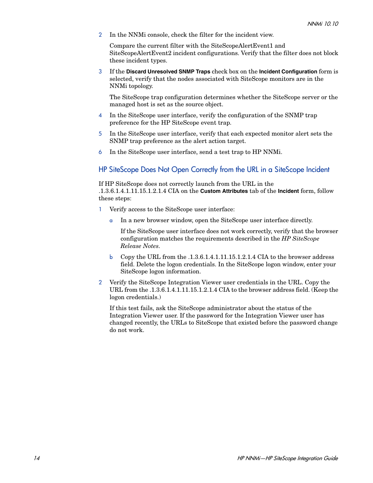2 In the NNMi console, check the filter for the incident view.

Compare the current filter with the SiteScopeAlertEvent1 and SiteScopeAlertEvent2 incident configurations. Verify that the filter does not block these incident types.

3 If the **Discard Unresolved SNMP Traps** check box on the **Incident Configuration** form is selected, verify that the nodes associated with SiteScope monitors are in the NNMi topology.

The SiteScope trap configuration determines whether the SiteScope server or the managed host is set as the source object.

- 4 In the SiteScope user interface, verify the configuration of the SNMP trap preference for the HP SiteScope event trap.
- 5 In the SiteScope user interface, verify that each expected monitor alert sets the SNMP trap preference as the alert action target.
- 6 In the SiteScope user interface, send a test trap to HP NNMi.

### <span id="page-13-0"></span>HP SiteScope Does Not Open Correctly from the URL in a SiteScope Incident

If HP SiteScope does not correctly launch from the URL in the .1.3.6.1.4.1.11.15.1.2.1.4 CIA on the **Custom Attributes** tab of the **Incident** form, follow these steps:

- 1 Verify access to the SiteScope user interface:
	- a In a new browser window, open the SiteScope user interface directly.

If the SiteScope user interface does not work correctly, verify that the browser configuration matches the requirements described in the *HP SiteScope Release Notes*.

- b Copy the URL from the .1.3.6.1.4.1.11.15.1.2.1.4 CIA to the browser address field. Delete the logon credentials. In the SiteScope logon window, enter your SiteScope logon information.
- 2 Verify the SiteScope Integration Viewer user credentials in the URL. Copy the URL from the .1.3.6.1.4.1.11.15.1.2.1.4 CIA to the browser address field. (Keep the logon credentials.)

If this test fails, ask the SiteScope administrator about the status of the Integration Viewer user. If the password for the Integration Viewer user has changed recently, the URLs to SiteScope that existed before the password change do not work.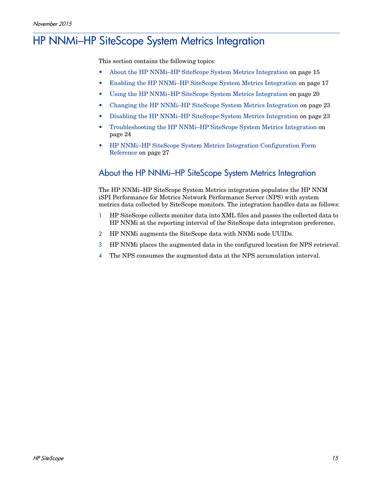## <span id="page-14-0"></span>HP NNMi–HP SiteScope System Metrics Integration

This section contains the following topics:

- • [About the HP NNMi–HP SiteScope System Metrics Integration on page 15](#page-14-1)
- • [Enabling the HP NNMi–HP SiteScope System Metrics Integration on page 17](#page-16-2)
- • [Using the HP NNMi–HP SiteScope System Metrics Integration on page 20](#page-19-0)
- • [Changing the HP NNMi–HP SiteScope System Metrics Integration on page 23](#page-22-0)
- • [Disabling the HP NNMi–HP SiteScope System Metrics Integration on page 23](#page-22-3)
- • [Troubleshooting the HP NNMi–HP SiteScope System Metrics Integration on](#page-23-1)  [page 24](#page-23-1)
- • [HP NNMi–HP SiteScope System Metrics Integration Configuration Form](#page-26-1)  [Reference on page 27](#page-26-1)

### <span id="page-14-1"></span>About the HP NNMi–HP SiteScope System Metrics Integration

The HP NNMi–HP SiteScope System Metrics integration populates the HP NNM iSPI Performance for Metrics Network Performance Server (NPS) with system metrics data collected by SiteScope monitors. The integration handles data as follows:

- 1 HP SiteScope collects monitor data into XML files and passes the collected data to HP NNMi at the reporting interval of the SiteScope data integration preference.
- 2 HP NNMi augments the SiteScope data with NNMi node UUIDs.
- 3 HP NNMi places the augmented data in the configured location for NPS retrieval.
- 4 The NPS consumes the augmented data at the NPS accumulation interval.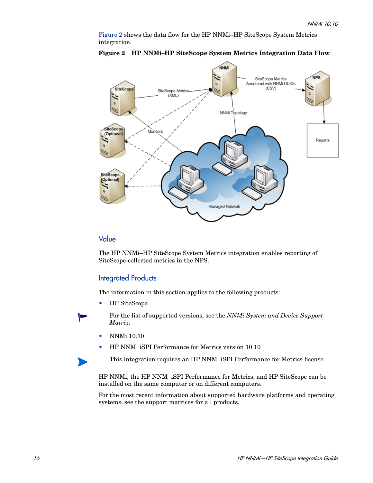[Figure 2](#page-15-2) shows the data flow for the HP NNMi–HP SiteScope System Metrics integration.



<span id="page-15-2"></span>**Figure 2 HP NNMi–HP SiteScope System Metrics Integration Data Flow**

### <span id="page-15-0"></span>Value

The HP NNMi–HP SiteScope System Metrics integration enables reporting of SiteScope-collected metrics in the NPS.

### <span id="page-15-1"></span>Integrated Products

The information in this section applies to the following products:

• HP SiteScope

For the list of supported versions, see the *NNMi System and Device Support Matrix*.

- NNMi 10.10
- HP NNM iSPI Performance for Metrics version 10.10

This integration requires an HP NNM iSPI Performance for Metrics license.

HP NNMi, the HP NNM iSPI Performance for Metrics, and HP SiteScope can be installed on the same computer or on different computers.

For the most recent information about supported hardware platforms and operating systems, see the support matrices for all products.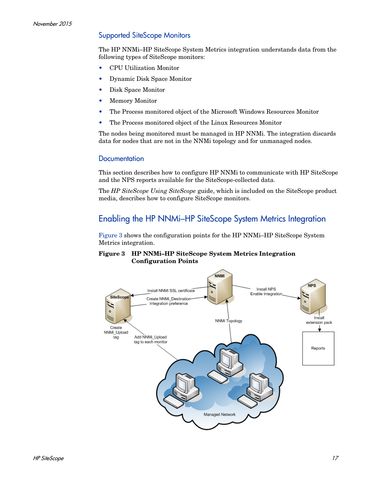### <span id="page-16-0"></span>Supported SiteScope Monitors

The HP NNMi–HP SiteScope System Metrics integration understands data from the following types of SiteScope monitors:

- CPU Utilization Monitor
- Dynamic Disk Space Monitor
- Disk Space Monitor
- Memory Monitor
- The Process monitored object of the Microsoft Windows Resources Monitor
- The Process monitored object of the Linux Resources Monitor

The nodes being monitored must be managed in HP NNMi. The integration discards data for nodes that are not in the NNMi topology and for unmanaged nodes.

#### <span id="page-16-1"></span>**Documentation**

This section describes how to configure HP NNMi to communicate with HP SiteScope and the NPS reports available for the SiteScope-collected data.

The *HP SiteScope Using SiteScope* guide, which is included on the SiteScope product media, describes how to configure SiteScope monitors.

### <span id="page-16-2"></span>Enabling the HP NNMi–HP SiteScope System Metrics Integration

[Figure 3](#page-16-3) shows the configuration points for the HP NNMi–HP SiteScope System Metrics integration.

#### <span id="page-16-3"></span>**Figure 3 HP NNMi–HP SiteScope System Metrics Integration Configuration Points**

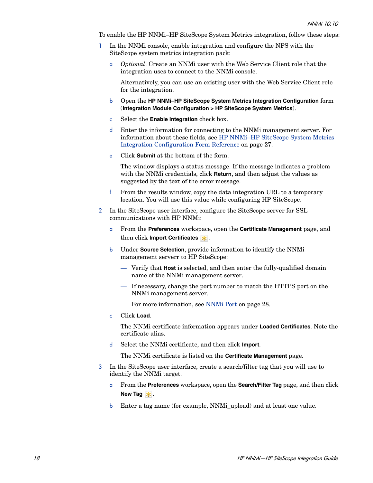To enable the HP NNMi–HP SiteScope System Metrics integration, follow these steps:

- <span id="page-17-1"></span>1 In the NNMi console, enable integration and configure the NPS with the SiteScope system metrics integration pack:
	- a *Optional*. Create an NNMi user with the Web Service Client role that the integration uses to connect to the NNMi console.

Alternatively, you can use an existing user with the Web Service Client role for the integration.

- b Open the **HP NNMi–HP SiteScope System Metrics Integration Configuration** form (**Integration Module Configuration > HP SiteScope System Metrics**).
- c Select the **Enable Integration** check box.
- d Enter the information for connecting to the NNMi management server. For information about these fields, see HP NNMi–HP [SiteScope System Metrics](#page-26-1)  [Integration Configuration Form Reference on page](#page-26-1) 27.
- e Click **Submit** at the bottom of the form.

The window displays a status message. If the message indicates a problem with the NNMi credentials, click **Return**, and then adjust the values as suggested by the text of the error message.

- f From the results window, copy the data integration URL to a temporary location. You will use this value while configuring HP SiteScope.
- 2 In the SiteScope user interface, configure the SiteScope server for SSL communications with HP NNMi:
	- a From the **Preferences** workspace, open the **Certificate Management** page, and then click **Import Certificates** .
	- b Under **Source Selection**, provide information to identify the NNMi management serverr to HP SiteScope:
		- Verify that **Host** is selected, and then enter the fully-qualified domain name of the NNMi management server.
		- If necessary, change the port number to match the HTTPS port on the NNMi management server.

For more information, see [NNMi Port on page](#page-27-0) 28.

c Click **Load**.

The NNMi certificate information appears under **Loaded Certificates**. Note the certificate alias.

d Select the NNMi certificate, and then click **Import**.

The NNMi certificate is listed on the **Certificate Management** page.

- <span id="page-17-0"></span>3 In the SiteScope user interface, create a search/filter tag that you will use to identify the NNMi target.
	- a From the **Preferences** workspace, open the **Search/Filter Tag** page, and then click **New Tag** .
	- b Enter a tag name (for example, NNMi\_upload) and at least one value.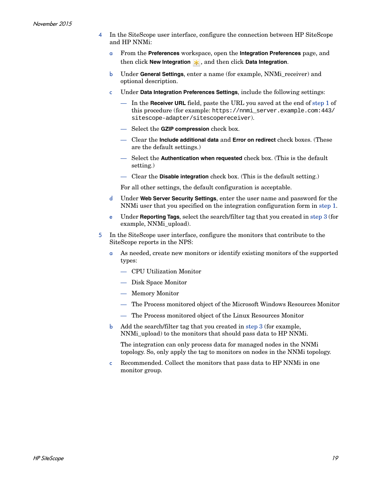- <span id="page-18-0"></span>4 In the SiteScope user interface, configure the connection between HP SiteScope and HP NNMi:
	- a From the **Preferences** workspace, open the **Integration Preferences** page, and then click **New Integration** , and then click **Data Integration**.
	- b Under **General Settings**, enter a name (for example, NNMi\_receiver) and optional description.
	- c Under **Data Integration Preferences Settings**, include the following settings:
		- In the **Receiver URL** field, paste the URL you saved at the end of [step](#page-17-1) 1 of this procedure (for example: https://nnmi\_server.example.com:443/ sitescope-adapter/sitescopereceiver).
		- Select the **GZIP compression** check box.
		- Clear the **Include additional data** and **Error on redirect** check boxes. (These are the default settings.)
		- Select the **Authentication when requested** check box. (This is the default setting.)
		- Clear the **Disable integration** check box. (This is the default setting.)

For all other settings, the default configuration is acceptable.

- d Under **Web Server Security Settings**, enter the user name and password for the NNMi user that you specified on the integration configuration form in [step](#page-17-1) 1.
- e Under **Reporting Tags**, select the search/filter tag that you created in [step](#page-17-0) 3 (for example, NNMi\_upload).
- 5 In the SiteScope user interface, configure the monitors that contribute to the SiteScope reports in the NPS:
	- a As needed, create new monitors or identify existing monitors of the supported types:
		- CPU Utilization Monitor
		- Disk Space Monitor
		- Memory Monitor
		- The Process monitored object of the Microsoft Windows Resources Monitor
		- The Process monitored object of the Linux Resources Monitor
	- b Add the search/filter tag that you created in [step](#page-17-0) 3 (for example, NNMi\_upload) to the monitors that should pass data to HP NNMi.

The integration can only process data for managed nodes in the NNMi topology. So, only apply the tag to monitors on nodes in the NNMi topology.

c Recommended. Collect the monitors that pass data to HP NNMi in one monitor group.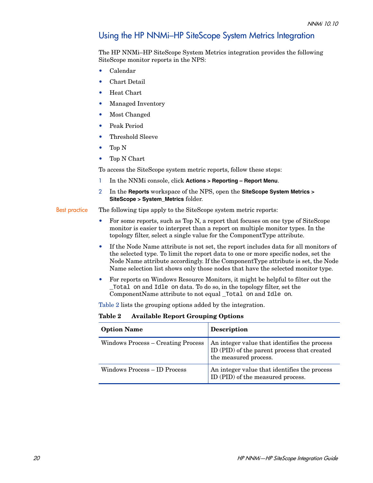### <span id="page-19-0"></span>Using the HP NNMi–HP SiteScope System Metrics Integration

The HP NNMi–HP SiteScope System Metrics integration provides the following SiteScope monitor reports in the NPS:

- Calendar
- Chart Detail
- Heat Chart
- Managed Inventory
- Most Changed
- Peak Period
- Threshold Sleeve
- Top N
- Top N Chart

To access the SiteScope system metric reports, follow these steps:

- 1 In the NNMi console, click **Actions > Reporting Report Menu**.
- 2 In the **Reports** workspace of the NPS, open the **SiteScope System Metrics > SiteScope > System\_Metrics** folder.

Best practice The following tips apply to the SiteScope system metric reports:

- For some reports, such as Top N, a report that focuses on one type of SiteScope monitor is easier to interpret than a report on multiple monitor types. In the topology filter, select a single value for the ComponentType attribute.
- If the Node Name attribute is not set, the report includes data for all monitors of the selected type. To limit the report data to one or more specific nodes, set the Node Name attribute accordingly. If the ComponentType attribute is set, the Node Name selection list shows only those nodes that have the selected monitor type.
- For reports on Windows Resource Monitors, it might be helpful to filter out the \_Total on and Idle on data. To do so, in the topology filter, set the ComponentName attribute to not equal \_Total on and Idle on.

[Table 2](#page-19-1) lists the grouping options added by the integration.

<span id="page-19-1"></span>**Table 2 Available Report Grouping Options** 

| <b>Option Name</b>                 | <b>Description</b>                                                                                                   |
|------------------------------------|----------------------------------------------------------------------------------------------------------------------|
| Windows Process – Creating Process | An integer value that identifies the process<br>ID (PID) of the parent process that created<br>the measured process. |
| Windows Process – ID Process       | An integer value that identifies the process<br>ID (PID) of the measured process.                                    |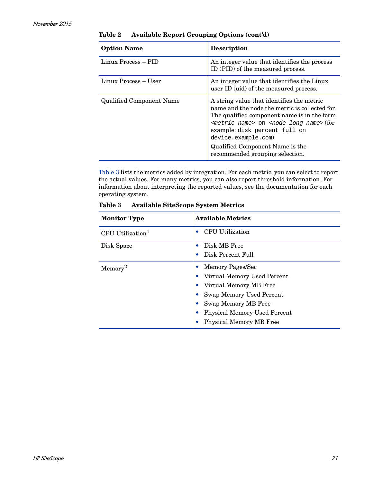| <b>Option Name</b>       | <b>Description</b>                                                                                                                                                                                                                                                                                                                                     |
|--------------------------|--------------------------------------------------------------------------------------------------------------------------------------------------------------------------------------------------------------------------------------------------------------------------------------------------------------------------------------------------------|
| Linux Process – PID      | An integer value that identifies the process<br>ID (PID) of the measured process.                                                                                                                                                                                                                                                                      |
| Linux Process – User     | An integer value that identifies the Linux<br>user ID (uid) of the measured process.                                                                                                                                                                                                                                                                   |
| Qualified Component Name | A string value that identifies the metric<br>name and the node the metric is collected for.<br>The qualified component name is in the form<br><metric_name> on <node_long_name> (for<br/>example: disk percent full on<br/>device.example.com).<br/>Qualified Component Name is the<br/>recommended grouping selection.</node_long_name></metric_name> |

**Table 2 Available Report Grouping Options (cont'd)**

[Table 3](#page-20-0) lists the metrics added by integration. For each metric, you can select to report the actual values. For many metrics, you can also report threshold information. For information about interpreting the reported values, see the documentation for each operating system.

| <b>Monitor Type</b>          | <b>Available Metrics</b>            |
|------------------------------|-------------------------------------|
| CPU Utilization <sup>1</sup> | <b>CPU</b> Utilization              |
| Disk Space                   | Disk MB Free<br>$\bullet$           |
|                              | Disk Percent Full<br>$\bullet$      |
| Memory <sup>2</sup>          | Memory Pages/Sec                    |
|                              | Virtual Memory Used Percent         |
|                              | Virtual Memory MB Free              |
|                              | Swap Memory Used Percent            |
|                              | Swap Memory MB Free<br>$\bullet$    |
|                              | <b>Physical Memory Used Percent</b> |
|                              | <b>Physical Memory MB Free</b>      |

<span id="page-20-0"></span>**Table 3 Available SiteScope System Metrics**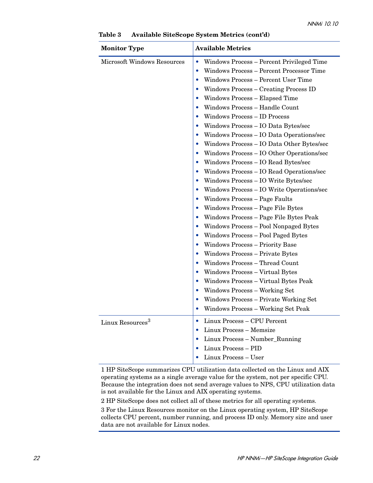| <b>Monitor Type</b>                | <b>Available Metrics</b>                                                                                        |
|------------------------------------|-----------------------------------------------------------------------------------------------------------------|
| <b>Microsoft Windows Resources</b> | Windows Process - Percent Privileged Time<br>$\bullet$<br>Windows Process - Percent Processor Time<br>$\bullet$ |
|                                    | Windows Process - Percent User Time<br>$\bullet$                                                                |
|                                    | Windows Process - Creating Process ID<br>$\bullet$                                                              |
|                                    | Windows Process - Elapsed Time<br>$\bullet$                                                                     |
|                                    | Windows Process - Handle Count<br>$\bullet$                                                                     |
|                                    | <b>Windows Process - ID Process</b><br>$\bullet$                                                                |
|                                    | Windows Process - IO Data Bytes/sec<br>$\bullet$                                                                |
|                                    | Windows Process – IO Data Operations/sec<br>$\bullet$                                                           |
|                                    | Windows Process - IO Data Other Bytes/sec<br>$\bullet$                                                          |
|                                    | Windows Process - IO Other Operations/sec<br>$\bullet$                                                          |
|                                    | Windows Process - IO Read Bytes/sec<br>$\bullet$                                                                |
|                                    | Windows Process - IO Read Operations/sec<br>$\bullet$                                                           |
|                                    | Windows Process - IO Write Bytes/sec<br>$\bullet$                                                               |
|                                    | Windows Process - IO Write Operations/sec<br>$\bullet$                                                          |
|                                    | Windows Process - Page Faults<br>$\bullet$                                                                      |
|                                    | Windows Process - Page File Bytes<br>$\bullet$                                                                  |
|                                    | Windows Process - Page File Bytes Peak<br>$\bullet$                                                             |
|                                    | Windows Process - Pool Nonpaged Bytes<br>$\bullet$                                                              |
|                                    | Windows Process - Pool Paged Bytes<br>$\bullet$                                                                 |
|                                    | Windows Process - Priority Base<br>$\bullet$                                                                    |
|                                    | Windows Process - Private Bytes<br>$\bullet$                                                                    |
|                                    | Windows Process - Thread Count<br>$\bullet$                                                                     |
|                                    | Windows Process - Virtual Bytes<br>$\bullet$                                                                    |
|                                    | Windows Process - Virtual Bytes Peak<br>$\bullet$                                                               |
|                                    | Windows Process - Working Set<br>$\bullet$                                                                      |
|                                    | Windows Process - Private Working Set                                                                           |
|                                    | Windows Process - Working Set Peak                                                                              |
| Linux Resources <sup>3</sup>       | Linux Process - CPU Percent<br>$\bullet$                                                                        |
|                                    | Linux Process - Memsize<br>$\bullet$                                                                            |
|                                    | Linux Process – Number Running<br>$\bullet$                                                                     |
|                                    | Linux Process - PID<br>$\bullet$                                                                                |
|                                    | Linux Process – User<br>$\bullet$                                                                               |

**Table 3 Available SiteScope System Metrics (cont'd)**

1 HP SiteScope summarizes CPU utilization data collected on the Linux and AIX operating systems as a single average value for the system, not per specific CPU. Because the integration does not send average values to NPS, CPU utilization data is not available for the Linux and AIX operating systems.

2 HP SiteScope does not collect all of these metrics for all operating systems.

3 For the Linux Resources monitor on the Linux operating system, HP SiteScope collects CPU percent, number running, and process ID only. Memory size and user data are not available for Linux nodes.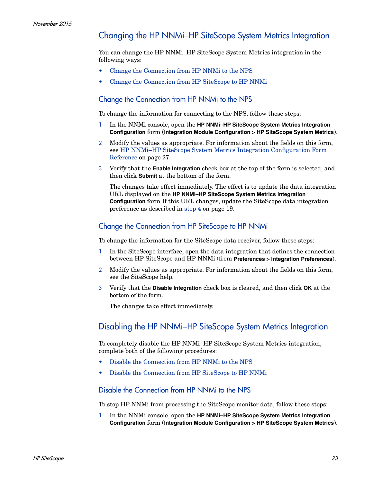### <span id="page-22-0"></span>Changing the HP NNMi–HP SiteScope System Metrics Integration

You can change the HP NNMi–HP SiteScope System Metrics integration in the following ways:

- • [Change the Connection from HP NNMi to the NPS](#page-22-1)
- • [Change the Connection from HP SiteScope to HP NNMi](#page-22-2)

### <span id="page-22-1"></span>Change the Connection from HP NNMi to the NPS

To change the information for connecting to the NPS, follow these steps:

- 1 In the NNMi console, open the **HP NNMi–HP SiteScope System Metrics Integration Configuration** form (**Integration Module Configuration > HP SiteScope System Metrics**).
- 2 Modify the values as appropriate. For information about the fields on this form, see [HP NNMi–HP SiteScope System Metrics Integration Configuration Form](#page-26-1)  [Reference on page 27.](#page-26-1)
- 3 Verify that the **Enable Integration** check box at the top of the form is selected, and then click **Submit** at the bottom of the form.

The changes take effect immediately. The effect is to update the data integration URL displayed on the **HP NNMi–HP SiteScope System Metrics Integration Configuration** form If this URL changes, update the SiteScope data integration preference as described in [step 4 on page 19](#page-18-0).

### <span id="page-22-2"></span>Change the Connection from HP SiteScope to HP NNMi

To change the information for the SiteScope data receiver, follow these steps:

- 1 In the SiteScope interface, open the data integration that defines the connection between HP SiteScope and HP NNMi (from **Preferences > Integration Preferences**).
- 2 Modify the values as appropriate. For information about the fields on this form, see the SiteScope help.
- 3 Verify that the **Disable Integration** check box is cleared, and then click **OK** at the bottom of the form.

The changes take effect immediately.

### <span id="page-22-3"></span>Disabling the HP NNMi–HP SiteScope System Metrics Integration

To completely disable the HP NNMi–HP SiteScope System Metrics integration, complete both of the following procedures:

- • [Disable the Connection from HP NNMi to the NPS](#page-22-4)
- • [Disable the Connection from HP SiteScope to HP NNMi](#page-23-0)

### <span id="page-22-4"></span>Disable the Connection from HP NNMi to the NPS

To stop HP NNMi from processing the SiteScope monitor data, follow these steps:

1 In the NNMi console, open the **HP NNMi–HP SiteScope System Metrics Integration Configuration** form (**Integration Module Configuration > HP SiteScope System Metrics**).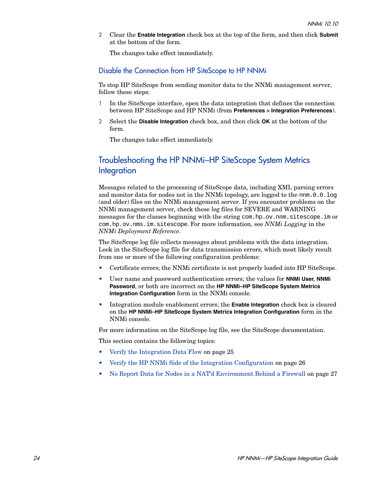2 Clear the **Enable Integration** check box at the top of the form, and then click **Submit** at the bottom of the form.

The changes take effect immediately.

### <span id="page-23-0"></span>Disable the Connection from HP SiteScope to HP NNMi

To stop HP SiteScope from sending monitor data to the NNMi management server, follow these steps:

- 1 In the SiteScope interface, open the data integration that defines the connection between HP SiteScope and HP NNMi (from **Preferences > Integration Preferences**).
- 2 Select the **Disable Integration** check box, and then click **OK** at the bottom of the form.

The changes take effect immediately.

### <span id="page-23-1"></span>Troubleshooting the HP NNMi–HP SiteScope System Metrics **Integration**

Messages related to the processing of SiteScope data, including XML parsing errors and monitor data for nodes not in the NNM topology, are logged to the nnm.0.0.log (and older) files on the NNMi management server. If you encounter problems on the NNMi management server, check these log files for SEVERE and WARNING messages for the classes beginning with the string com.hp.ov.nnm.sitescope.im or com.hp.ov.nms.im.sitescope. For more information, see *NNMi Logging* in the *NNMi Deployment Reference*.

The SiteScope log file collects messages about problems with the data integration. Look in the SiteScope log file for data transmission errors, which most likely result from one or more of the following configuration problems:

- Certificate errors; the NNMi certificate is not properly loaded into HP SiteScope.
- User name and password authentication errors; the values for **NNMi User**, **NNMi Password**, or both are incorrect on the **HP NNMi–HP SiteScope System Metrics Integration Configuration** form in the NNMi console.
- Integration module enablement errors; the **Enable Integration** check box is cleared on the **HP NNMi–HP SiteScope System Metrics Integration Configuration** form in the NNMi console.

For more information on the SiteScope log file, see the SiteScope documentation.

This section contains the following topics:

- • [Verify the Integration Data Flow on page 25](#page-24-0)
- • [Verify the HP NNMi Side of the Integration Configuration on page 26](#page-25-0)
- • [No Report Data for Nodes in a NAT'd Environment Behind a Firewall on page 27](#page-26-0)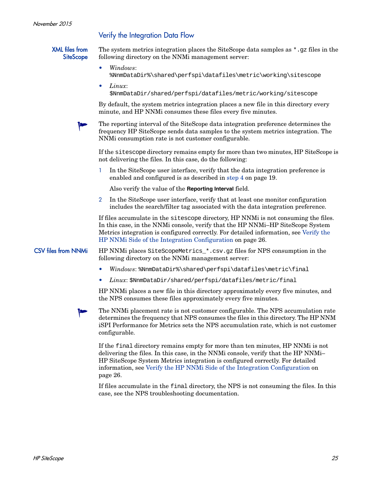### <span id="page-24-0"></span>Verify the Integration Data Flow

XML files from **SiteScope** The system metrics integration places the SiteScope data samples as \*.gz files in the following directory on the NNMi management server: • *Windows*: %NnmDataDir%\shared\perfspi\datafiles\metric\working\sitescope • *Linux*: \$NnmDataDir/shared/perfspi/datafiles/metric/working/sitescope By default, the system metrics integration places a new file in this directory every minute, and HP NNMi consumes these files every five minutes. If the sitescope directory remains empty for more than two minutes, HP SiteScope is not delivering the files. In this case, do the following: 1 In the SiteScope user interface, verify that the data integration preference is enabled and configured is as described in [step 4 on page 19](#page-18-0). Also verify the value of the **Reporting Interval** field. 2 In the SiteScope user interface, verify that at least one monitor configuration includes the search/filter tag associated with the data integration preference. If files accumulate in the sitescope directory, HP NNMi is not consuming the files. In this case, in the NNMi console, verify that the HP NNMi–HP SiteScope System Metrics integration is configured correctly. For detailed information, see [Verify the](#page-25-0)  [HP NNMi Side of the Integration Configuration on page 26](#page-25-0). CSV files from NNMi HP NNMi places SiteScopeMetrics\_\*.csv.gz files for NPS consumption in the following directory on the NNMi management server: • *Windows*: %NnmDataDir%\shared\perfspi\datafiles\metric\final • *Linux*: \$NnmDataDir/shared/perfspi/datafiles/metric/final HP NNMi places a new file in this directory approximately every five minutes, and the NPS consumes these files approximately every five minutes. If the final directory remains empty for more than ten minutes, HP NNMi is not delivering the files. In this case, in the NNMi console, verify that the HP NNMi– HP SiteScope System Metrics integration is configured correctly. For detailed information, see [Verify the HP NNMi Side of the Integration Configuration on](#page-25-0)  [page 26.](#page-25-0) If files accumulate in the final directory, the NPS is not consuming the files. In this case, see the NPS troubleshooting documentation. The reporting interval of the SiteScope data integration preference determines the frequency HP SiteScope sends data samples to the system metrics integration. The NNMi consumption rate is not customer configurable. The NNMi placement rate is not customer configurable. The NPS accumulation rate determines the frequency that NPS consumes the files in this directory. The HP NNM iSPI Performance for Metrics sets the NPS accumulation rate, which is not customer configurable.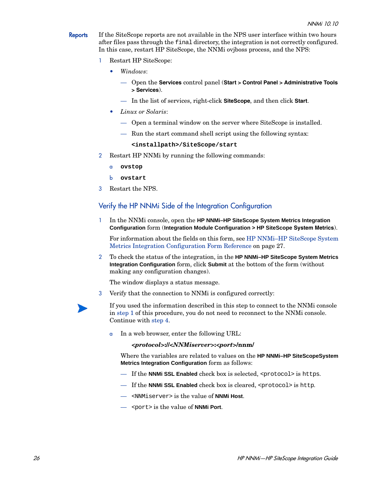- **Reports** If the SiteScope reports are not available in the NPS user interface within two hours after files pass through the final directory, the integration is not correctly configured. In this case, restart HP SiteScope, the NNMi ovjboss process, and the NPS:
	- 1 Restart HP SiteScope:
		- *Windows*:
			- Open the **Services** control panel (**Start > Control Panel > Administrative Tools > Services**).
			- In the list of services, right-click **SiteScope**, and then click **Start**.
		- *Linux or Solaris*:
			- Open a terminal window on the server where SiteScope is installed.
			- Run the start command shell script using the following syntax:

#### **<installpath>/SiteScope/start**

- 2 Restart HP NNMi by running the following commands:
	- a **ovstop**
	- b **ovstart**
- 3 Restart the NPS.

### <span id="page-25-0"></span>Verify the HP NNMi Side of the Integration Configuration

<span id="page-25-1"></span>1 In the NNMi console, open the **HP NNMi–HP SiteScope System Metrics Integration Configuration** form (**Integration Module Configuration > HP SiteScope System Metrics**).

For information about the fields on this form, see [HP NNMi–HP SiteScope System](#page-26-1)  [Metrics Integration Configuration Form Reference on page 27](#page-26-1).

2 To check the status of the integration, in the **HP NNMi–HP SiteScope System Metrics Integration Configuration** form, click **Submit** at the bottom of the form (without making any configuration changes).

The window displays a status message.

<span id="page-25-2"></span>3 Verify that the connection to NNMi is configured correctly:

If you used the information described in this step to connect to the NNMi console in [step 1](#page-25-1) of this procedure, you do not need to reconnect to the NNMi console. Continue with [step 4.](#page-26-2)

a In a web browser, enter the following URL:

#### *<protocol>***://***<NNMiserver>***:***<port>***/nnm/**

Where the variables are related to values on the **HP NNMi–HP SiteScopeSystem Metrics Integration Configuration** form as follows:

- If the **NNMi SSL Enabled** check box is selected, <protocol> is https.
- If the **NNMi SSL Enabled** check box is cleared, <protocol> is http.
- <NNMiserver> is the value of **NNMi Host**.
- <port> is the value of **NNMi Port**.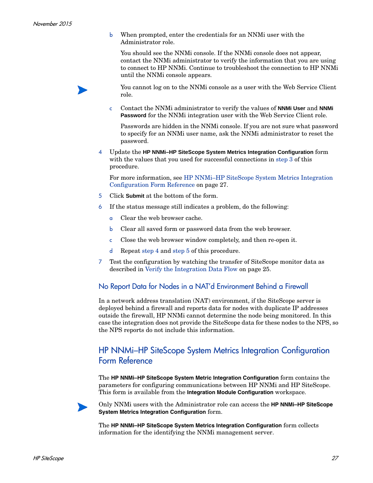b When prompted, enter the credentials for an NNMi user with the Administrator role.

You should see the NNMi console. If the NNMi console does not appear, contact the NNMi administrator to verify the information that you are using to connect to HP NNMi. Continue to troubleshoot the connection to HP NNMi until the NNMi console appears.

You cannot log on to the NNMi console as a user with the Web Service Client role.

c Contact the NNMi administrator to verify the values of **NNMi User** and **NNMi Password** for the NNMi integration user with the Web Service Client role.

Passwords are hidden in the NNMi console. If you are not sure what password to specify for an NNMi user name, ask the NNMi administrator to reset the password.

<span id="page-26-2"></span>4 Update the **HP NNMi–HP SiteScope System Metrics Integration Configuration** form with the values that you used for successful connections in [step 3](#page-25-2) of this procedure.

For more information, see [HP NNMi–HP SiteScope System Metrics Integration](#page-26-1)  [Configuration Form Reference on page 27](#page-26-1).

- <span id="page-26-3"></span>5 Click **Submit** at the bottom of the form.
- 6 If the status message still indicates a problem, do the following:
	- a Clear the web browser cache.
	- b Clear all saved form or password data from the web browser.
	- c Close the web browser window completely, and then re-open it.
	- d Repeat [step](#page-26-2) 4 and [step](#page-26-3) 5 of this procedure.
- 7 Test the configuration by watching the transfer of SiteScope monitor data as described in [Verify the Integration Data Flow on page 25](#page-24-0).

### <span id="page-26-0"></span>No Report Data for Nodes in a NAT'd Environment Behind a Firewall

In a network address translation (NAT) environment, if the SiteScope server is deployed behind a firewall and reports data for nodes with duplicate IP addresses outside the firewall, HP NNMi cannot determine the node being monitored. In this case the integration does not provide the SiteScope data for these nodes to the NPS, so the NPS reports do not include this information.

### <span id="page-26-1"></span>HP NNMi–HP SiteScope System Metrics Integration Configuration Form Reference

The **HP NNMi–HP SiteScope System Metric Integration Configuration** form contains the parameters for configuring communications between HP NNMi and HP SiteScope. This form is available from the **Integration Module Configuration** workspace.



Only NNMi users with the Administrator role can access the **HP NNMi–HP SiteScope System Metrics Integration Configuration** form.

The **HP NNMi–HP SiteScope System Metrics Integration Configuration** form collects information for the identifying the NNMi management server.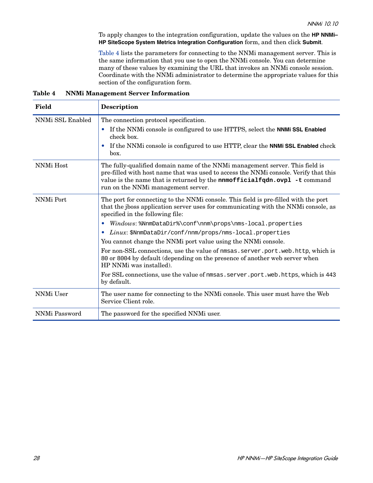To apply changes to the integration configuration, update the values on the **HP NNMi– HP SiteScope System Metrics Integration Configuration** form, and then click **Submit**.

[Table 4](#page-27-1) lists the parameters for connecting to the NNMi management server. This is the same information that you use to open the NNMi console. You can determine many of these values by examining the URL that invokes an NNMi console session. Coordinate with the NNMi administrator to determine the appropriate values for this section of the configuration form.

<span id="page-27-0"></span>

| Field            | Description                                                                                                                                                                                                                                                                              |
|------------------|------------------------------------------------------------------------------------------------------------------------------------------------------------------------------------------------------------------------------------------------------------------------------------------|
| NNMi SSL Enabled | The connection protocol specification.                                                                                                                                                                                                                                                   |
|                  | If the NNMi console is configured to use HTTPS, select the NNMi SSL Enabled<br>$\bullet$<br>check box.                                                                                                                                                                                   |
|                  | If the NNMi console is configured to use HTTP, clear the NNMI SSL Enabled check<br>$\bullet$<br>box.                                                                                                                                                                                     |
| NNMi Host        | The fully-qualified domain name of the NNMi management server. This field is<br>pre-filled with host name that was used to access the NNMi console. Verify that this<br>value is the name that is returned by the nomofficial figdn.ovpl -t command<br>run on the NNM management server. |
| NNMi Port        | The port for connecting to the NNMi console. This field is pre-filled with the port<br>that the jboss application server uses for communicating with the NNMi console, as<br>specified in the following file:                                                                            |
|                  | Windows: %NnmDataDir%\conf\nnm\props\nms-local.properties                                                                                                                                                                                                                                |
|                  | Linux: \$NnmDataDir/conf/nnm/props/nms-local.properties                                                                                                                                                                                                                                  |
|                  | You cannot change the NNMi port value using the NNMi console.                                                                                                                                                                                                                            |
|                  | For non-SSL connections, use the value of nmsas.server.port.web.http, which is<br>80 or 8004 by default (depending on the presence of another web server when<br>HP NNMi was installed).                                                                                                 |
|                  | For SSL connections, use the value of mmsas.server.port.web.https, which is 443<br>by default.                                                                                                                                                                                           |
| NNMi User        | The user name for connecting to the NNMi console. This user must have the Web<br>Service Client role.                                                                                                                                                                                    |
| NNMi Password    | The password for the specified NNMi user.                                                                                                                                                                                                                                                |

<span id="page-27-1"></span>**Table 4 NNMi Management Server Information**